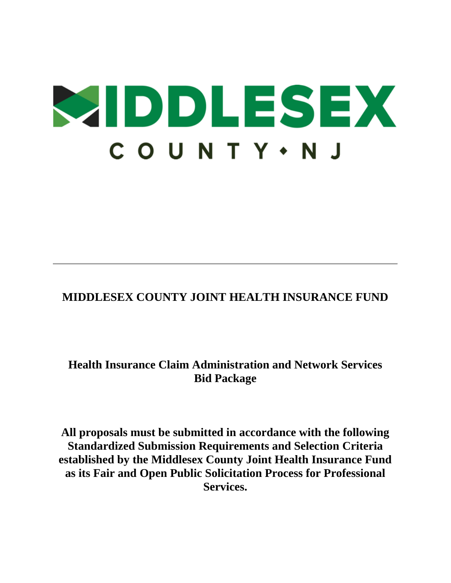# **WIDDLESEX** COUNTY · NJ

# **MIDDLESEX COUNTY JOINT HEALTH INSURANCE FUND**

# **Health Insurance Claim Administration and Network Services Bid Package**

**All proposals must be submitted in accordance with the following Standardized Submission Requirements and Selection Criteria established by the Middlesex County Joint Health Insurance Fund as its Fair and Open Public Solicitation Process for Professional Services.**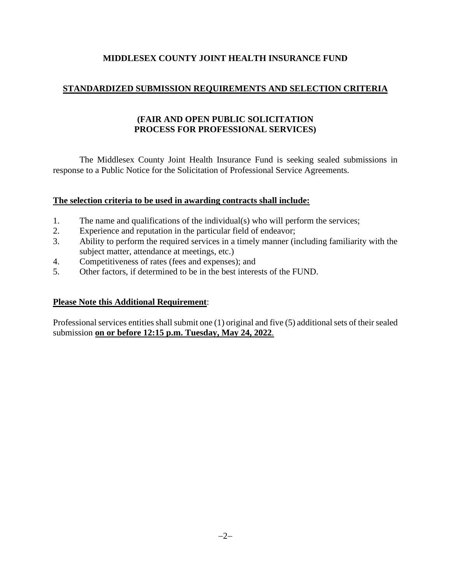# **STANDARDIZED SUBMISSION REQUIREMENTS AND SELECTION CRITERIA**

# **(FAIR AND OPEN PUBLIC SOLICITATION PROCESS FOR PROFESSIONAL SERVICES)**

The Middlesex County Joint Health Insurance Fund is seeking sealed submissions in response to a Public Notice for the Solicitation of Professional Service Agreements.

# **The selection criteria to be used in awarding contracts shall include:**

- 1. The name and qualifications of the individual(s) who will perform the services;
- 2. Experience and reputation in the particular field of endeavor;
- 3. Ability to perform the required services in a timely manner (including familiarity with the subject matter, attendance at meetings, etc.)
- 4. Competitiveness of rates (fees and expenses); and
- 5. Other factors, if determined to be in the best interests of the FUND.

# **Please Note this Additional Requirement**:

Professional services entities shall submit one (1) original and five (5) additional sets of their sealed submission **on or before 12:15 p.m. Tuesday, May 24, 2022**.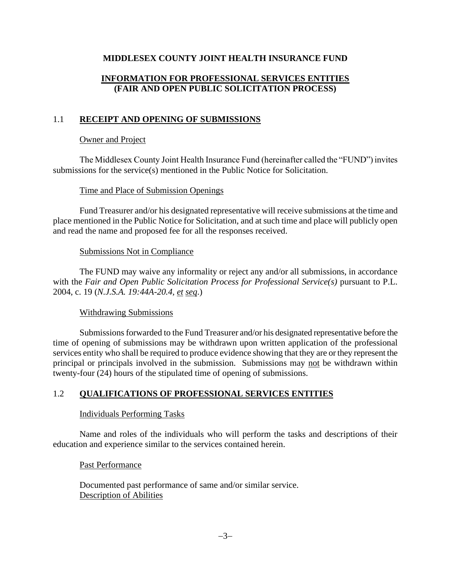# **INFORMATION FOR PROFESSIONAL SERVICES ENTITIES (FAIR AND OPEN PUBLIC SOLICITATION PROCESS)**

# 1.1 **RECEIPT AND OPENING OF SUBMISSIONS**

#### Owner and Project

The Middlesex County Joint Health Insurance Fund (hereinafter called the "FUND") invites submissions for the service(s) mentioned in the Public Notice for Solicitation.

#### Time and Place of Submission Openings

Fund Treasurer and/or his designated representative will receive submissions at the time and place mentioned in the Public Notice for Solicitation, and at such time and place will publicly open and read the name and proposed fee for all the responses received.

#### Submissions Not in Compliance

The FUND may waive any informality or reject any and/or all submissions, in accordance with the *Fair and Open Public Solicitation Process for Professional Service(s)* pursuant to P.L. 2004, c. 19 (*N.J.S.A. 19:44A-20.4, et seq*.)

#### Withdrawing Submissions

Submissions forwarded to the Fund Treasurer and/or his designated representative before the time of opening of submissions may be withdrawn upon written application of the professional services entity who shall be required to produce evidence showing that they are or they represent the principal or principals involved in the submission. Submissions may not be withdrawn within twenty-four (24) hours of the stipulated time of opening of submissions.

#### 1.2 **QUALIFICATIONS OF PROFESSIONAL SERVICES ENTITIES**

#### Individuals Performing Tasks

Name and roles of the individuals who will perform the tasks and descriptions of their education and experience similar to the services contained herein.

#### Past Performance

Documented past performance of same and/or similar service. Description of Abilities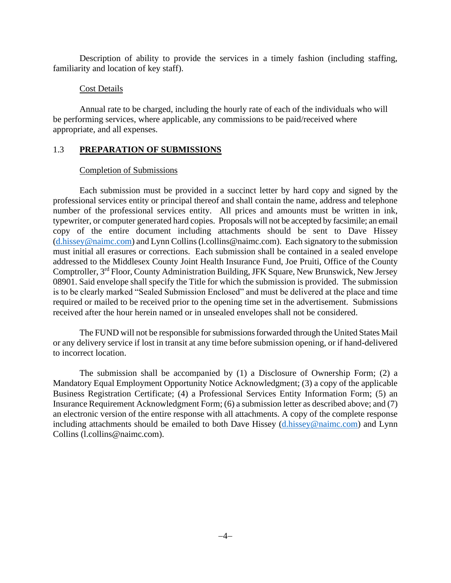Description of ability to provide the services in a timely fashion (including staffing, familiarity and location of key staff).

### Cost Details

Annual rate to be charged, including the hourly rate of each of the individuals who will be performing services, where applicable, any commissions to be paid/received where appropriate, and all expenses.

# 1.3 **PREPARATION OF SUBMISSIONS**

# Completion of Submissions

Each submission must be provided in a succinct letter by hard copy and signed by the professional services entity or principal thereof and shall contain the name, address and telephone number of the professional services entity. All prices and amounts must be written in ink, typewriter, or computer generated hard copies. Proposals will not be accepted by facsimile; an email copy of the entire document including attachments should be sent to Dave Hissey [\(d.hissey@naimc.com\)](mailto:d.hissey@naimc.com) and Lynn Collins (l.collins@naimc.com). Each signatory to the submission must initial all erasures or corrections. Each submission shall be contained in a sealed envelope addressed to the Middlesex County Joint Health Insurance Fund, Joe Pruiti, Office of the County Comptroller, 3rd Floor, County Administration Building, JFK Square, New Brunswick, New Jersey 08901. Said envelope shall specify the Title for which the submission is provided. The submission is to be clearly marked "Sealed Submission Enclosed" and must be delivered at the place and time required or mailed to be received prior to the opening time set in the advertisement. Submissions received after the hour herein named or in unsealed envelopes shall not be considered.

The FUND will not be responsible for submissions forwarded through the United States Mail or any delivery service if lost in transit at any time before submission opening, or if hand-delivered to incorrect location.

The submission shall be accompanied by (1) a Disclosure of Ownership Form; (2) a Mandatory Equal Employment Opportunity Notice Acknowledgment; (3) a copy of the applicable Business Registration Certificate; (4) a Professional Services Entity Information Form; (5) an Insurance Requirement Acknowledgment Form; (6) a submission letter as described above; and (7) an electronic version of the entire response with all attachments. A copy of the complete response including attachments should be emailed to both Dave Hissey [\(d.hissey@naimc.com\)](mailto:d.hissey@naimc.com) and Lynn Collins (l.collins@naimc.com).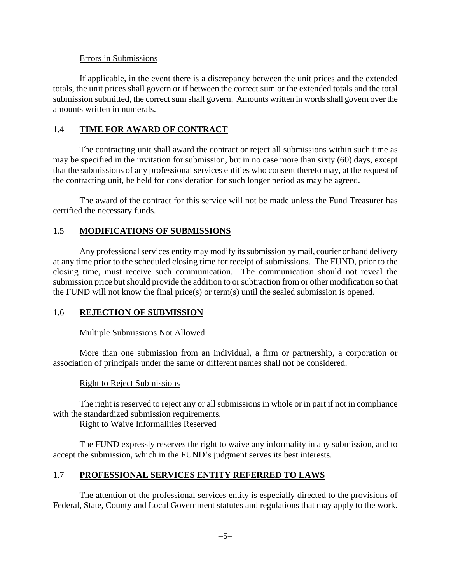#### Errors in Submissions

If applicable, in the event there is a discrepancy between the unit prices and the extended totals, the unit prices shall govern or if between the correct sum or the extended totals and the total submission submitted, the correct sum shall govern. Amounts written in words shall govern over the amounts written in numerals.

# 1.4 **TIME FOR AWARD OF CONTRACT**

The contracting unit shall award the contract or reject all submissions within such time as may be specified in the invitation for submission, but in no case more than sixty (60) days, except that the submissions of any professional services entities who consent thereto may, at the request of the contracting unit, be held for consideration for such longer period as may be agreed.

The award of the contract for this service will not be made unless the Fund Treasurer has certified the necessary funds.

# 1.5 **MODIFICATIONS OF SUBMISSIONS**

Any professional services entity may modify its submission by mail, courier or hand delivery at any time prior to the scheduled closing time for receipt of submissions. The FUND, prior to the closing time, must receive such communication. The communication should not reveal the submission price but should provide the addition to or subtraction from or other modification so that the FUND will not know the final price(s) or term(s) until the sealed submission is opened.

#### 1.6 **REJECTION OF SUBMISSION**

#### Multiple Submissions Not Allowed

More than one submission from an individual, a firm or partnership, a corporation or association of principals under the same or different names shall not be considered.

#### Right to Reject Submissions

The right is reserved to reject any or all submissions in whole or in part if not in compliance with the standardized submission requirements.

Right to Waive Informalities Reserved

The FUND expressly reserves the right to waive any informality in any submission, and to accept the submission, which in the FUND's judgment serves its best interests.

#### 1.7 **PROFESSIONAL SERVICES ENTITY REFERRED TO LAWS**

The attention of the professional services entity is especially directed to the provisions of Federal, State, County and Local Government statutes and regulations that may apply to the work.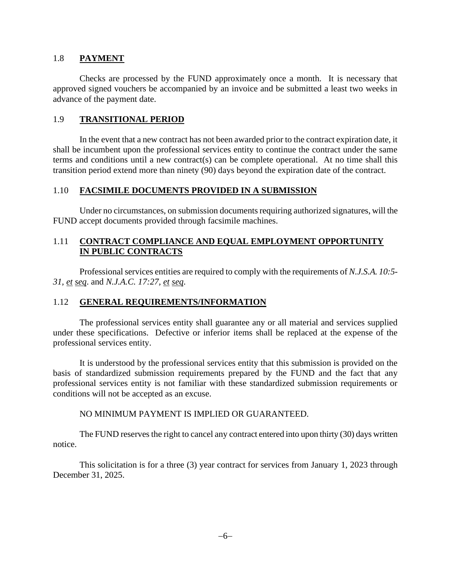#### 1.8 **PAYMENT**

Checks are processed by the FUND approximately once a month. It is necessary that approved signed vouchers be accompanied by an invoice and be submitted a least two weeks in advance of the payment date.

#### 1.9 **TRANSITIONAL PERIOD**

In the event that a new contract has not been awarded prior to the contract expiration date, it shall be incumbent upon the professional services entity to continue the contract under the same terms and conditions until a new contract(s) can be complete operational. At no time shall this transition period extend more than ninety (90) days beyond the expiration date of the contract.

#### 1.10 **FACSIMILE DOCUMENTS PROVIDED IN A SUBMISSION**

Under no circumstances, on submission documents requiring authorized signatures, will the FUND accept documents provided through facsimile machines.

# 1.11 **CONTRACT COMPLIANCE AND EQUAL EMPLOYMENT OPPORTUNITY IN PUBLIC CONTRACTS**

Professional services entities are required to comply with the requirements of *N.J.S.A. 10:5- 31, et seq*. and *N.J.A.C. 17:27, et seq*.

#### 1.12 **GENERAL REQUIREMENTS/INFORMATION**

The professional services entity shall guarantee any or all material and services supplied under these specifications. Defective or inferior items shall be replaced at the expense of the professional services entity.

It is understood by the professional services entity that this submission is provided on the basis of standardized submission requirements prepared by the FUND and the fact that any professional services entity is not familiar with these standardized submission requirements or conditions will not be accepted as an excuse.

#### NO MINIMUM PAYMENT IS IMPLIED OR GUARANTEED.

The FUND reserves the right to cancel any contract entered into upon thirty (30) days written notice.

This solicitation is for a three (3) year contract for services from January 1, 2023 through December 31, 2025.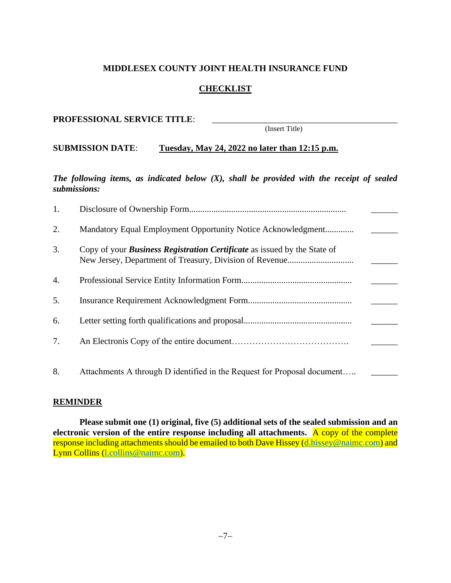# **CHECKLIST**

#### PROFESSIONAL SERVICE TITLE:

(Insert Title)

# **SUBMISSION DATE**: **Tuesday, May 24, 2022 no later than 12:15 p.m.**

*The following items, as indicated below (X), shall be provided with the receipt of sealed submissions:*

| 1. |                                                                                 |
|----|---------------------------------------------------------------------------------|
| 2. | Mandatory Equal Employment Opportunity Notice Acknowledgment                    |
| 3. | Copy of your <b>Business Registration Certificate</b> as issued by the State of |
| 4. |                                                                                 |
| 5. |                                                                                 |
| 6. |                                                                                 |
| 7. |                                                                                 |
| 8. | Attachments A through D identified in the Request for Proposal document         |
|    |                                                                                 |

#### **REMINDER**

**Please submit one (1) original, five (5) additional sets of the sealed submission and an electronic version of the entire response including all attachments.** A copy of the complete response including attachments should be emailed to both Dave Hissey [\(d.hissey@naimc.com\)](mailto:d.hissey@naimc.com) and Lynn Collins [\(l.collins@naimc.com\)](mailto:l.collins@naimc.com).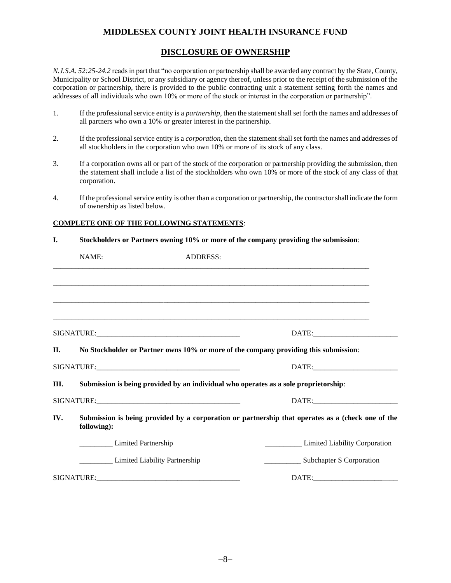#### **DISCLOSURE OF OWNERSHIP**

*N.J.S.A. 52:25-24.2* reads in part that "no corporation or partnership shall be awarded any contract by the State, County, Municipality or School District, or any subsidiary or agency thereof, unless prior to the receipt of the submission of the corporation or partnership, there is provided to the public contracting unit a statement setting forth the names and addresses of all individuals who own 10% or more of the stock or interest in the corporation or partnership".

- 1. If the professional service entity is a *partnership*, then the statement shall set forth the names and addresses of all partners who own a 10% or greater interest in the partnership.
- 2. If the professional service entity is a *corporation*, then the statement shall set forth the names and addresses of all stockholders in the corporation who own 10% or more of its stock of any class.
- 3. If a corporation owns all or part of the stock of the corporation or partnership providing the submission, then the statement shall include a list of the stockholders who own 10% or more of the stock of any class of that corporation.
- 4. If the professional service entity is other than a corporation or partnership, the contractor shall indicate the form of ownership as listed below.

#### **COMPLETE ONE OF THE FOLLOWING STATEMENTS**:

**I. Stockholders or Partners owning 10% or more of the company providing the submission**:

|         | NAME:                                                                                | <b>ADDRESS:</b> |                                                                                                   |
|---------|--------------------------------------------------------------------------------------|-----------------|---------------------------------------------------------------------------------------------------|
|         |                                                                                      |                 |                                                                                                   |
|         |                                                                                      |                 |                                                                                                   |
|         |                                                                                      |                 |                                                                                                   |
|         |                                                                                      |                 | DATE:                                                                                             |
| $\Pi$ . | No Stockholder or Partner owns 10% or more of the company providing this submission: |                 |                                                                                                   |
|         |                                                                                      |                 |                                                                                                   |
| III.    | Submission is being provided by an individual who operates as a sole proprietorship: |                 |                                                                                                   |
|         |                                                                                      |                 |                                                                                                   |
| IV.     | following):                                                                          |                 | Submission is being provided by a corporation or partnership that operates as a (check one of the |
|         | <b>Limited Partnership</b>                                                           |                 | <b>Example 2</b> Limited Liability Corporation                                                    |
|         | <b>Example 2</b> Limited Liability Partnership                                       |                 | _____________________ Subchapter S Corporation                                                    |
|         |                                                                                      |                 |                                                                                                   |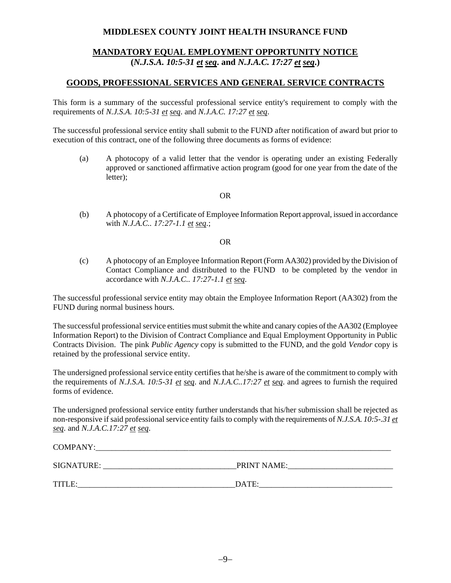# **MANDATORY EQUAL EMPLOYMENT OPPORTUNITY NOTICE (***N.J.S.A. 10:5-31 et seq***. and** *N.J.A.C. 17:27 et seq***.)**

### **GOODS, PROFESSIONAL SERVICES AND GENERAL SERVICE CONTRACTS**

This form is a summary of the successful professional service entity's requirement to comply with the requirements of *N.J.S.A. 10:5-31 et seq*. and *N.J.A.C. 17:27 et seq*.

The successful professional service entity shall submit to the FUND after notification of award but prior to execution of this contract, one of the following three documents as forms of evidence:

(a) A photocopy of a valid letter that the vendor is operating under an existing Federally approved or sanctioned affirmative action program (good for one year from the date of the letter);

#### OR

(b) A photocopy of a Certificate of Employee Information Report approval, issued in accordance with *N.J.A.C.. 17:27-1.1 et seq*.;

#### OR

(c) A photocopy of an Employee Information Report (Form AA302) provided by the Division of Contact Compliance and distributed to the FUND to be completed by the vendor in accordance with *N.J.A.C.. 17:27-1.1 et seq*.

The successful professional service entity may obtain the Employee Information Report (AA302) from the FUND during normal business hours.

The successful professional service entities must submit the white and canary copies of the AA302 (Employee Information Report) to the Division of Contract Compliance and Equal Employment Opportunity in Public Contracts Division. The pink *Public Agency* copy is submitted to the FUND, and the gold *Vendor* copy is retained by the professional service entity.

The undersigned professional service entity certifies that he/she is aware of the commitment to comply with the requirements of *N.J.S.A. 10:5-31 et seq*. and *N.J.A.C..17:27 et seq*. and agrees to furnish the required forms of evidence.

The undersigned professional service entity further understands that his/her submission shall be rejected as non-responsive if said professional service entity fails to comply with the requirements of *N.J.S.A. 10:5-.31 et seq*. and *N.J.A.C.17:27 et seq*.

| <b>COMPANY:</b> |                    |
|-----------------|--------------------|
| SIGNATURE:      | <b>PRINT NAME:</b> |
| TITLE:          | DATE:              |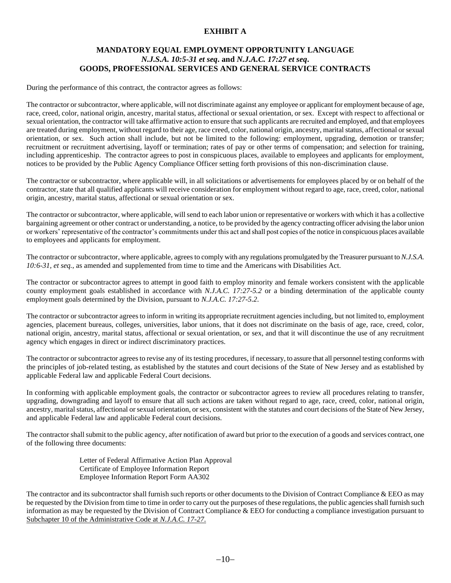#### **EXHIBIT A**

#### **MANDATORY EQUAL EMPLOYMENT OPPORTUNITY LANGUAGE** *N.J.S.A. 10:5-31 et seq***. and** *N.J.A.C. 17:27 et seq***. GOODS, PROFESSIONAL SERVICES AND GENERAL SERVICE CONTRACTS**

During the performance of this contract, the contractor agrees as follows:

The contractor or subcontractor, where applicable, will not discriminate against any employee or applicant for employment because of age, race, creed, color, national origin, ancestry, marital status, affectional or sexual orientation, or sex. Except with respect to affectional or sexual orientation, the contractor will take affirmative action to ensure that such applicants are recruited and employed, and that employees are treated during employment, without regard to their age, race creed, color, national origin, ancestry, marital status, affectional or sexual orientation, or sex. Such action shall include, but not be limited to the following: employment, upgrading, demotion or transfer; recruitment or recruitment advertising, layoff or termination; rates of pay or other terms of compensation; and selection for training, including apprenticeship. The contractor agrees to post in conspicuous places, available to employees and applicants for employment, notices to be provided by the Public Agency Compliance Officer setting forth provisions of this non-discrimination clause.

The contractor or subcontractor, where applicable will, in all solicitations or advertisements for employees placed by or on behalf of the contractor, state that all qualified applicants will receive consideration for employment without regard to age, race, creed, color, national origin, ancestry, marital status, affectional or sexual orientation or sex.

The contractor or subcontractor, where applicable, will send to each labor union or representative or workers with which it has a collective bargaining agreement or other contract or understanding, a notice, to be provided by the agency contracting officer advising the labor union or workers' representative of the contractor's commitments under this act and shall post copies of the notice in conspicuous places available to employees and applicants for employment.

The contractor or subcontractor, where applicable, agrees to comply with any regulations promulgated by the Treasurer pursuant to *N.J.S.A. 10:6-31, et seq.*, as amended and supplemented from time to time and the Americans with Disabilities Act.

The contractor or subcontractor agrees to attempt in good faith to employ minority and female workers consistent with the applicable county employment goals established in accordance with *N.J.A.C. 17:27-5.2* or a binding determination of the applicable county employment goals determined by the Division, pursuant to *N.J.A.C. 17:27-5.2*.

The contractor or subcontractor agrees to inform in writing its appropriate recruitment agencies including, but not limited to, employment agencies, placement bureaus, colleges, universities, labor unions, that it does not discriminate on the basis of age, race, creed, color, national origin, ancestry, marital status, affectional or sexual orientation, or sex, and that it will discontinue the use of any recruitment agency which engages in direct or indirect discriminatory practices.

The contractor or subcontractor agrees to revise any of its testing procedures, if necessary, to assure that all personnel testing conforms with the principles of job-related testing, as established by the statutes and court decisions of the State of New Jersey and as established by applicable Federal law and applicable Federal Court decisions.

In conforming with applicable employment goals, the contractor or subcontractor agrees to review all procedures relating to transfer, upgrading, downgrading and layoff to ensure that all such actions are taken without regard to age, race, creed, color, national origin, ancestry, marital status, affectional or sexual orientation, or sex, consistent with the statutes and court decisions of the State of New Jersey, and applicable Federal law and applicable Federal court decisions.

The contractor shall submit to the public agency, after notification of award but prior to the execution of a goods and services contract, one of the following three documents:

> Letter of Federal Affirmative Action Plan Approval Certificate of Employee Information Report Employee Information Report Form AA302

The contractor and its subcontractor shall furnish such reports or other documents to the Division of Contract Compliance  $& EEO$  as may be requested by the Division from time to time in order to carry out the purposes of these regulations, the public agencies shall furnish such information as may be requested by the Division of Contract Compliance  $& \text{EEO}$  for conducting a compliance investigation pursuant to Subchapter 10 of the Administrative Code at *N.J.A.C. 17-27*.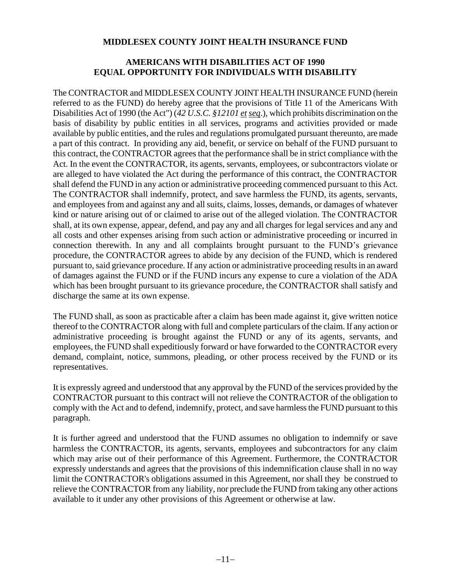# **AMERICANS WITH DISABILITIES ACT OF 1990 EQUAL OPPORTUNITY FOR INDIVIDUALS WITH DISABILITY**

The CONTRACTOR and MIDDLESEX COUNTY JOINT HEALTH INSURANCE FUND (herein referred to as the FUND) do hereby agree that the provisions of Title 11 of the Americans With Disabilities Act of 1990 (the Act") (42 U.S.C. §12101 et seq.), which prohibits discrimination on the basis of disability by public entities in all services, programs and activities provided or made available by public entities, and the rules and regulations promulgated pursuant thereunto, are made a part of this contract. In providing any aid, benefit, or service on behalf of the FUND pursuant to this contract, the CONTRACTOR agrees that the performance shall be in strict compliance with the Act. In the event the CONTRACTOR, its agents, servants, employees, or subcontractors violate or are alleged to have violated the Act during the performance of this contract, the CONTRACTOR shall defend the FUND in any action or administrative proceeding commenced pursuant to this Act. The CONTRACTOR shall indemnify, protect, and save harmless the FUND, its agents, servants, and employees from and against any and all suits, claims, losses, demands, or damages of whatever kind or nature arising out of or claimed to arise out of the alleged violation. The CONTRACTOR shall, at its own expense, appear, defend, and pay any and all charges for legal services and any and all costs and other expenses arising from such action or administrative proceeding or incurred in connection therewith. In any and all complaints brought pursuant to the FUND's grievance procedure, the CONTRACTOR agrees to abide by any decision of the FUND, which is rendered pursuant to, said grievance procedure. If any action or administrative proceeding results in an award of damages against the FUND or if the FUND incurs any expense to cure a violation of the ADA which has been brought pursuant to its grievance procedure, the CONTRACTOR shall satisfy and discharge the same at its own expense.

The FUND shall, as soon as practicable after a claim has been made against it, give written notice thereof to the CONTRACTOR along with full and complete particulars of the claim. If any action or administrative proceeding is brought against the FUND or any of its agents, servants, and employees, the FUND shall expeditiously forward or have forwarded to the CONTRACTOR every demand, complaint, notice, summons, pleading, or other process received by the FUND or its representatives.

It is expressly agreed and understood that any approval by the FUND of the services provided by the CONTRACTOR pursuant to this contract will not relieve the CONTRACTOR of the obligation to comply with the Act and to defend, indemnify, protect, and save harmless the FUND pursuant to this paragraph.

It is further agreed and understood that the FUND assumes no obligation to indemnify or save harmless the CONTRACTOR, its agents, servants, employees and subcontractors for any claim which may arise out of their performance of this Agreement. Furthermore, the CONTRACTOR expressly understands and agrees that the provisions of this indemnification clause shall in no way limit the CONTRACTOR's obligations assumed in this Agreement, nor shall they be construed to relieve the CONTRACTOR from any liability, nor preclude the FUND from taking any other actions available to it under any other provisions of this Agreement or otherwise at law.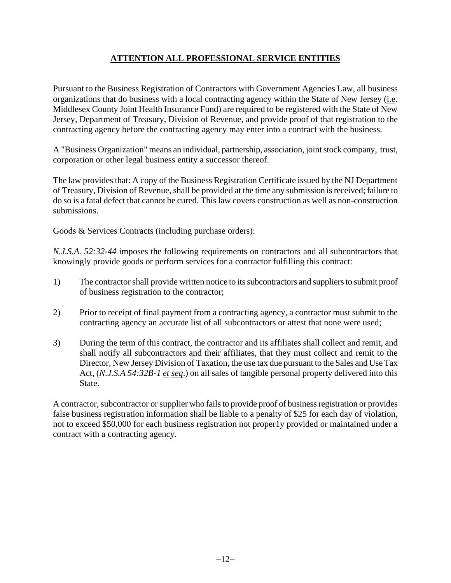# **ATTENTION ALL PROFESSIONAL SERVICE ENTITIES**

Pursuant to the Business Registration of Contractors with Government Agencies Law, all business organizations that do business with a local contracting agency within the State of New Jersey (i.e. Middlesex County Joint Health Insurance Fund) are required to be registered with the State of New Jersey, Department of Treasury, Division of Revenue, and provide proof of that registration to the contracting agency before the contracting agency may enter into a contract with the business.

A "Business Organization" means an individual, partnership, association, joint stock company, trust, corporation or other legal business entity a successor thereof.

The law provides that: A copy of the Business Registration Certificate issued by the NJ Department of Treasury, Division of Revenue, shall be provided at the time any submission is received; failure to do so is a fatal defect that cannot be cured. This law covers construction as well as non-construction submissions.

Goods & Services Contracts (including purchase orders):

*N.J.S.A. 52:32-44* imposes the following requirements on contractors and all subcontractors that knowingly provide goods or perform services for a contractor fulfilling this contract:

- 1) The contractor shall provide written notice to its subcontractors and suppliers to submit proof of business registration to the contractor;
- 2) Prior to receipt of final payment from a contracting agency, a contractor must submit to the contracting agency an accurate list of all subcontractors or attest that none were used;
- 3) During the term of this contract, the contractor and its affiliates shall collect and remit, and shall notify all subcontractors and their affiliates, that they must collect and remit to the Director, New Jersey Division of Taxation, the use tax due pursuant to the Sales and Use Tax Act, (*N.J.S.A 54:32B-1 et seq*.) on all sales of tangible personal property delivered into this State.

A contractor, subcontractor or supplier who fails to provide proof of business registration or provides false business registration information shall be liable to a penalty of \$25 for each day of violation, not to exceed \$50,000 for each business registration not proper1y provided or maintained under a contract with a contracting agency.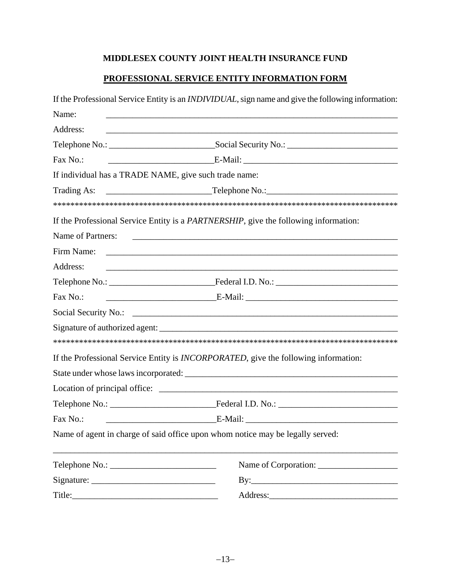# **PROFESSIONAL SERVICE ENTITY INFORMATION FORM**

|                                                       | If the Professional Service Entity is an <i>INDIVIDUAL</i> , sign name and give the following information:            |  |
|-------------------------------------------------------|-----------------------------------------------------------------------------------------------------------------------|--|
| Name:                                                 |                                                                                                                       |  |
| Address:                                              | <u> 1980 - Jan Alexandri, fransk politik (d. 1980)</u>                                                                |  |
|                                                       |                                                                                                                       |  |
| Fax No.:                                              |                                                                                                                       |  |
| If individual has a TRADE NAME, give such trade name: |                                                                                                                       |  |
|                                                       |                                                                                                                       |  |
|                                                       |                                                                                                                       |  |
|                                                       | If the Professional Service Entity is a <i>PARTNERSHIP</i> , give the following information:                          |  |
| Name of Partners:                                     | <u> 2000 - Jan James James James James James James James James James James James James James James James James J</u>  |  |
|                                                       |                                                                                                                       |  |
| Address:                                              | <u> 1989 - Johann Stoff, deutscher Stoffen und der Stoffen und der Stoffen und der Stoffen und der Stoffen und de</u> |  |
|                                                       |                                                                                                                       |  |
| Fax No.:                                              |                                                                                                                       |  |
|                                                       |                                                                                                                       |  |
|                                                       |                                                                                                                       |  |
|                                                       |                                                                                                                       |  |
|                                                       | If the Professional Service Entity is INCORPORATED, give the following information:                                   |  |
|                                                       |                                                                                                                       |  |
|                                                       |                                                                                                                       |  |
|                                                       |                                                                                                                       |  |
| Fax No.:                                              |                                                                                                                       |  |
|                                                       | Name of agent in charge of said office upon whom notice may be legally served:                                        |  |
|                                                       | Name of Corporation:                                                                                                  |  |
|                                                       | By: $\qquad \qquad$                                                                                                   |  |
|                                                       |                                                                                                                       |  |